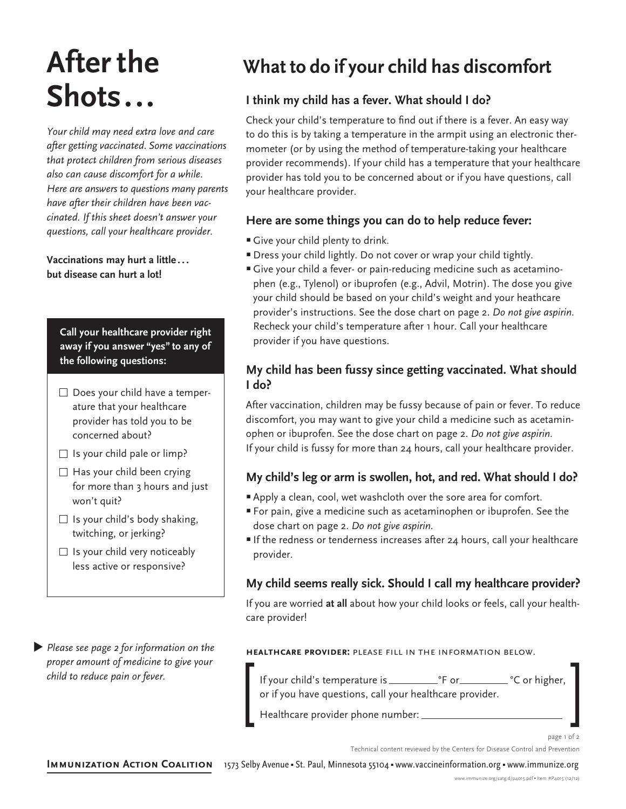# **After the Shots...**

*Your child may need extra love and care after getting vaccinated. Some vaccinations that protect children from serious diseases also can cause discomfort for a while. Here are answers to questions many parents have after their children have been vaccinated. If this sheet doesn't answer your questions, call your healthcare provider.* 

**Vaccinations may hurt a little... but disease can hurt a lot!**

**Call your healthcare provider right away if you answer "yes" to any of the following questions:**

- $\Box$  Does your child have a temperature that your healthcare provider has told you to be concerned about?
- $\Box$  Is your child pale or limp?
- $\Box$  Has your child been crying for more than 3 hours and just won't quit?
- $\Box$  Is your child's body shaking, twitching, or jerking?
- $\Box$  Is your child very noticeably less active or responsive?

**Please see page 2 for information on the** *proper amount of medicine to give your child to reduce pain or fever.* 

# **What to do if your child has discomfort**

# **I think my child has a fever. What should I do?**

Check your child's temperature to find out if there is a fever. An easy way to do this is by taking a temperature in the armpit using an electronic thermometer (or by using the method of temperature-taking your healthcare provider recommends). If your child has a temperature that your healthcare provider has told you to be concerned about or if you have questions, call your healthcare provider.

### **Here are some things you can do to help reduce fever:**

- **Give your child plenty to drink.**
- **Dress your child lightly. Do not cover or wrap your child tightly.**
- Give your child a fever- or pain-reducing medicine such as acetaminophen (e.g., Tylenol) or ibuprofen (e.g., Advil, Motrin). The dose you give your child should be based on your child's weight and your heathcare provider's instructions. See the dose chart on page 2. *Do not give aspirin.* Recheck your child's temperature after 1 hour. Call your healthcare provider if you have questions.

### **My child has been fussy since getting vaccinated. What should I do?**

After vaccination, children may be fussy because of pain or fever. To reduce discomfort, you may want to give your child a medicine such as acetaminophen or ibuprofen. See the dose chart on page 2. *Do not give aspirin.* If your child is fussy for more than 24 hours, call your healthcare provider.

## **My child's leg or arm is swollen, hot, and red. What should I do?**

- <sup>n</sup> Apply a clean, cool, wet washcloth over the sore area for comfort.
- <sup>n</sup> For pain, give a medicine such as acetaminophen or ibuprofen. See the dose chart on page 2. *Do not give aspirin.*
- If the redness or tenderness increases after 24 hours, call your healthcare provider.

## **My child seems really sick. Should I call my healthcare provider?**

If you are worried **at all** about how your child looks or feels, call your healthcare provider!

#### **healthcare provider:** please fill in the information below.

If your child's temperature is °F or °C or higher, or if you have questions, call your healthcare provider. [ Healthcare provider phone number: ]

Technical content reviewed by the Centers for Disease Control and Prevention

IMMUNIZATION ACTION COALITION 1573 Selby Avenue · St. Paul, Minnesota 55104 · www.vaccineinformation.org · www.immunize.org

page 1 of 2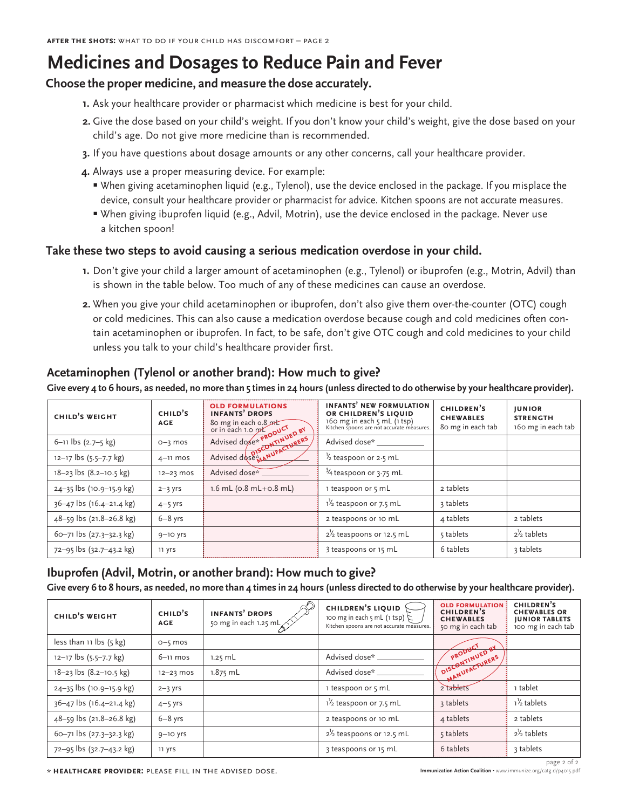# **Medicines and Dosages to Reduce Pain and Fever**

### **Choose the proper medicine, and measure the dose accurately.**

- **1.** Ask your healthcare provider or pharmacist which medicine is best for your child.
- **2.** Give the dose based on your child's weight. If you don't know your child's weight, give the dose based on your child's age. Do not give more medicine than is recommended.
- **3.** If you have questions about dosage amounts or any other concerns, call your healthcare provider.
- **4.** Always use a proper measuring device. For example:
	- When giving acetaminophen liquid (e.g., Tylenol), use the device enclosed in the package. If you misplace the device, consult your healthcare provider or pharmacist for advice. Kitchen spoons are not accurate measures.
	- When giving ibuprofen liquid (e.g., Advil, Motrin), use the device enclosed in the package. Never use a kitchen spoon!

#### **Take these two steps to avoid causing a serious medication overdose in your child.**

- **1.** Don't give your child a larger amount of acetaminophen (e.g., Tylenol) or ibuprofen (e.g., Motrin, Advil) than is shown in the table below. Too much of any of these medicines can cause an overdose.
- **2.** When you give your child acetaminophen or ibuprofen, don't also give them over-the-counter (OTC) cough or cold medicines. This can also cause a medication overdose because cough and cold medicines often contain acetaminophen or ibuprofen. In fact, to be safe, don't give OTC cough and cold medicines to your child unless you talk to your child's healthcare provider first.

### **Acetaminophen (Tylenol or another brand): How much to give?**

**Give every 4 to 6 hours, as needed, no more than 5 times in 24 hours (unless directed to do otherwise by your healthcare provider).**

| CHILD'S WEIGHT           | CHILD'S<br><b>AGE</b> | <b>OLD FORMULATIONS</b><br><b>INFANTS' DROPS</b><br>80 mg in each 0.8 mt<br>or in each 1.0 mt<br>Advised dose * PRODUCT<br>Advised dose * PRODUCT<br>Advised dose * ANUFACTURERS | <b>INFANTS' NEW FORMULATION</b><br>OR CHILDREN'S LIQUID<br>160 mg in each 5 mL (1 tsp)<br>Kitchen spoons are not accurate measures. | CHILDREN'S<br><b>CHEWABLES</b><br>80 mg in each tab | <b>JUNIOR</b><br><b>STRENGTH</b><br>160 mg in each tab |
|--------------------------|-----------------------|----------------------------------------------------------------------------------------------------------------------------------------------------------------------------------|-------------------------------------------------------------------------------------------------------------------------------------|-----------------------------------------------------|--------------------------------------------------------|
| $6-11$ lbs $(2.7-5$ kg)  | $O-3$ mos             |                                                                                                                                                                                  | Advised dose*                                                                                                                       |                                                     |                                                        |
| 12-17 lbs (5.5-7.7 kg)   | $4-11$ mos            |                                                                                                                                                                                  | $\frac{1}{2}$ teaspoon or 2.5 mL                                                                                                    |                                                     |                                                        |
| 18-23 lbs (8.2-10.5 kg)  | $12 - 23$ mos         | Advised dose*                                                                                                                                                                    | $\frac{3}{4}$ teaspoon or 3.75 mL                                                                                                   |                                                     |                                                        |
| 24-35 lbs (10.9-15.9 kg) | $2 - 3$ yrs           | $1.6$ mL ( $0.8$ mL+ $0.8$ mL)                                                                                                                                                   | 1 teaspoon or 5 mL                                                                                                                  | 2 tablets                                           |                                                        |
| 36-47 lbs (16.4-21.4 kg) | $4-5$ yrs             |                                                                                                                                                                                  | $1\frac{1}{2}$ teaspoon or 7.5 mL                                                                                                   | 3 tablets                                           |                                                        |
| 48-59 lbs (21.8-26.8 kg) | $6-8$ yrs             |                                                                                                                                                                                  | 2 teaspoons or 10 mL                                                                                                                | 4 tablets                                           | 2 tablets                                              |
| 60-71 lbs (27.3-32.3 kg) | $9-10$ yrs            |                                                                                                                                                                                  | $2\frac{1}{2}$ teaspoons or 12.5 mL                                                                                                 | 5 tablets                                           | $2\frac{1}{2}$ tablets                                 |
| 72-95 lbs (32.7-43.2 kg) | 11 yrs                |                                                                                                                                                                                  | 3 teaspoons or 15 mL                                                                                                                | 6 tablets                                           | 3 tablets                                              |

#### **Ibuprofen (Advil, Motrin, or another brand): How much to give? Give every 6 to 8 hours, as needed, no more than 4 times in 24 hours (unless directed to do otherwise by your healthcare provider).**

| CHILD'S WEIGHT                    | CHILD'S<br><b>AGE</b> | <b>INFANTS' DROPS</b><br>50 mg in each 1.25 mL $\gtrsim$ | <b>CHILDREN'S LIQUID</b><br>100 mg in each 5 mL (1 tsp) $\zeta$<br>Kitchen spoons are not accurate measures. | <b>OLD FORMULATION</b><br>CHILDREN'S<br><b>CHEWABLES</b><br>50 mg in each tab | CHILDREN'S<br><b>CHEWABLES OR</b><br><b>JUNIOR TABLETS</b><br>100 mg in each tab |  |  |
|-----------------------------------|-----------------------|----------------------------------------------------------|--------------------------------------------------------------------------------------------------------------|-------------------------------------------------------------------------------|----------------------------------------------------------------------------------|--|--|
| less than 11 lbs $(5 \text{ kg})$ | $0 - 5$ mos           |                                                          |                                                                                                              |                                                                               |                                                                                  |  |  |
| $12-17$ lbs $(5.5-7.7$ kg)        | $6-11$ mos            | $1.25$ mL                                                | Advised dose*                                                                                                |                                                                               |                                                                                  |  |  |
| $18 - 23$ lbs $(8.2 - 10.5$ kg)   | $12 - 23$ mos         | 1.875 mL                                                 | Advised dose*                                                                                                | PRODUCT BY H                                                                  |                                                                                  |  |  |
| 24-35 lbs (10.9-15.9 kg)          | $2 - 3$ yrs           |                                                          | 1 teaspoon or 5 mL                                                                                           | 2 tablets                                                                     | 1 tablet                                                                         |  |  |
| 36-47 lbs (16.4-21.4 kg)          | $4-5$ yrs             |                                                          | $1\frac{1}{2}$ teaspoon or 7.5 mL                                                                            | 3 tablets                                                                     | $1\frac{1}{2}$ tablets                                                           |  |  |
| 48-59 lbs (21.8-26.8 kg)          | $6-8$ yrs             |                                                          | 2 teaspoons or 10 mL                                                                                         | 4 tablets                                                                     | 2 tablets                                                                        |  |  |
| 60-71 lbs (27.3-32.3 kg)          | $9-10$ yrs            |                                                          | $2\frac{1}{2}$ teaspoons or 12.5 mL                                                                          | 5 tablets                                                                     | $2\frac{1}{2}$ tablets                                                           |  |  |
| 72-95 lbs (32.7-43.2 kg)          | 11 yrs                |                                                          | 3 teaspoons or 15 mL                                                                                         | 6 tablets                                                                     | 3 tablets                                                                        |  |  |

**IMPLATE ACTION ACTION ACTION ACTION ACTION ACTION ACTION ACTION ACTION NEW IMMUNIZATION ACTION ACTION ACTION ACT<br><b>HEALTHCARE PROVIDER:** PLEASE FILL IN THE ADVISED DOSE.

page 2 of 2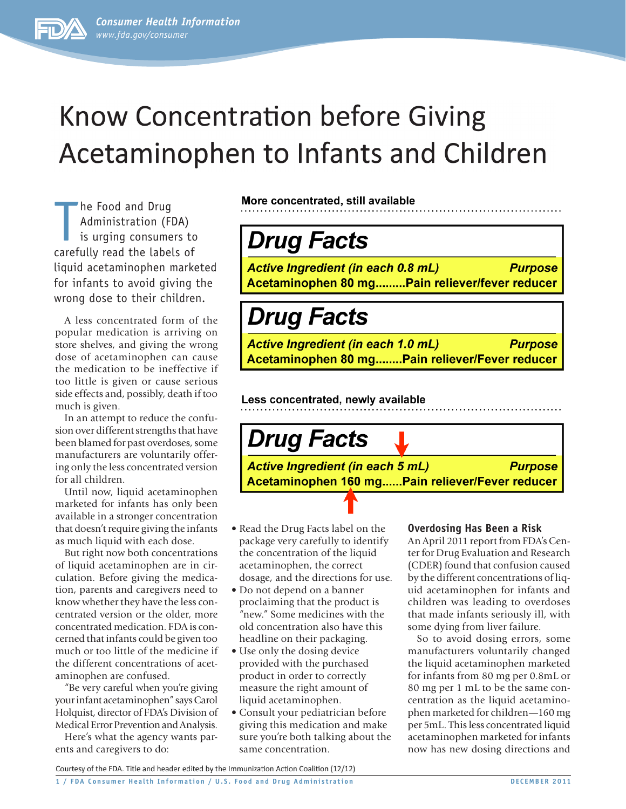

# **Know Concentration before Giving** Acetaminophen to Infants and Children

The Food and Drug<br>
Administration (FDA)<br>
is urging consumers to<br>
carefully read the labels of he Food and Drug Administration (FDA) is urging consumers to liquid acetaminophen marketed for infants to avoid giving the wrong dose to their children.

A less concentrated form of the popular medication is arriving on store shelves, and giving the wrong dose of acetaminophen can cause the medication to be ineffective if too little is given or cause serious side effects and, possibly, death if too much is given.

In an attempt to reduce the confusion over different strengths that have been blamed for past overdoses, some manufacturers are voluntarily offering only the less concentrated version for all children.

Until now, liquid acetaminophen marketed for infants has only been available in a stronger concentration that doesn't require giving the infants as much liquid with each dose.

But right now both concentrations of liquid acetaminophen are in circulation. Before giving the medication, parents and caregivers need to know whether they have the less concentrated version or the older, more concentrated medication. FDA is concerned that infants could be given too much or too little of the medicine if the different concentrations of acetaminophen are confused.

"Be very careful when you're giving your infant acetaminophen" says Carol Holquist, director of FDA's Division of Medical Error Prevention and Analysis.

Here's what the agency wants parents and caregivers to do:

More concentrated, still available

# **Drug Facts**

Active Ingredient (in each 0.8 mL) **Purpose** Acetaminophen 80 mg.........Pain reliever/fever reducer

# **Drug Facts**

**Active Ingredient (in each 1.0 mL) Purpose** Acetaminophen 80 mg........Pain reliever/Fever reducer

Less concentrated, newly available

**Drug Facts** 

**Active Ingredient (in each 5 mL) Purpose** Acetaminophen 160 mg......Pain reliever/Fever reducer

- Read the Drug Facts label on the package very carefully to identify the concentration of the liquid acetaminophen, the correct dosage, and the directions for use.
- Do not depend on a banner proclaiming that the product is "new." Some medicines with the old concentration also have this headline on their packaging.
- Use only the dosing device provided with the purchased product in order to correctly measure the right amount of liquid acetaminophen.
- Consult your pediatrician before giving this medication and make sure you're both talking about the same concentration.

#### **Overdosing Has Been a Risk**

An April 2011 report from FDA's Center for Drug Evaluation and Research (CDER) found that confusion caused by the different concentrations of liquid acetaminophen for infants and children was leading to overdoses that made infants seriously ill, with some dying from liver failure.

So to avoid dosing errors, some manufacturers voluntarily changed the liquid acetaminophen marketed for infants from 80 mg per 0.8mL or 80 mg per 1 mL to be the same concentration as the liquid acetaminophen marketed for children—160 mg per 5mL. This less concentrated liquid acetaminophen marketed for infants now has new dosing directions and

Courtesy of the FDA. Title and header edited by the Immunization Action Coalition (12/12)